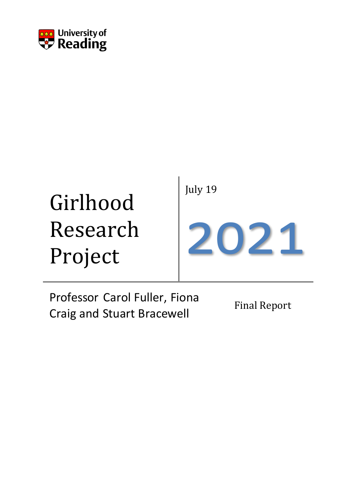

# Girlhood Research Project July 19 2021

Professor Carol Fuller, Fiona **Craig and Stuart Bracewell** Final Report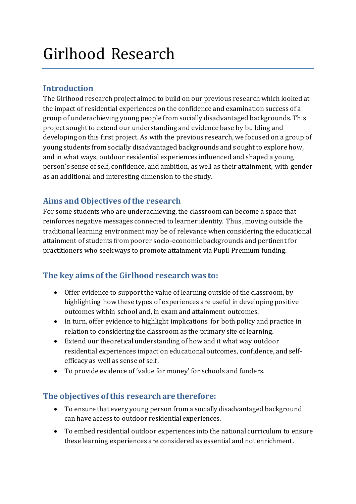# Girlhood Research

# **Introduction**

The Girlhood research project aimed to build on our previous research which looked at the impact of residential experiences on the confidence and examination success of a group of underachieving young people from socially disadvantaged backgrounds. This project sought to extend our understanding and evidence base by building and developing on this first project. As with the previous research, we focused on a group of young students from socially disadvantaged backgrounds and sought to explore how, and in what ways, outdoor residential experiences influenced and shaped a young person's sense of self, confidence, and ambition, as well as their attainment, with gender as an additional and interesting dimension to the study.

## **Aims and Objectives of the research**

For some students who are underachieving, the classroom can become a space that reinforces negative messages connected to learner identity. Thus, moving outside the traditional learning environment may be of relevance when considering the educational attainment of students from poorer socio-economic backgrounds and pertinent for practitioners who seek ways to promote attainment via Pupil Premium funding.

# **The key aims of the Girlhood research was to:**

- Offer evidence to support the value of learning outside of the classroom, by highlighting how these types of experiences are useful in developing positive outcomes within school and, in exam and attainment outcomes.
- In turn, offer evidence to highlight implications for both policy and practice in relation to considering the classroom as the primary site of learning.
- Extend our theoretical understanding of how and it what way outdoor residential experiences impact on educational outcomes, confidence, and selfefficacy as well as sense of self.
- To provide evidence of 'value for money' for schools and funders.

# **The objectives of this research are therefore:**

- To ensure that every young person from a socially disadvantaged background can have access to outdoor residential experiences.
- To embed residential outdoor experiences into the national curriculum to ensure these learning experiences are considered as essential and not enrichment.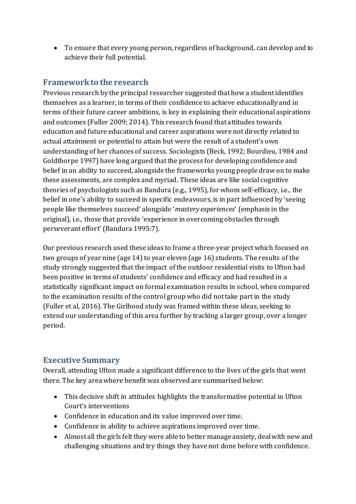• To ensure that every young person, regardless of background, can develop and to achieve their full potential.

### **Framework to the research**

Previous research by the principal researcher suggested that how a student identifies themselves as a learner, in terms of their confidence to achieve educationally and in terms of their future career ambitions, is key in explaining their educational aspirations and outcomes (Fuller 2009; 2014). This research found that attitudes towards education and future educational and career aspirations were not directly related to actual attainment or potential to attain but were the result of a student's own understanding of her chances of success. Sociologists (Beck, 1992; Bourdieu, 1984 and Goldthorpe 1997) have long argued that the process for developing confidence and belief in an ability to succeed, alongside the frameworks young people draw on to make these assessments, are complex and myriad. These ideas are like social cognitive theories of psychologists such as Bandura (e.g., 1995), for whom self-efficacy, i.e., the belief in one's ability to succeed in specific endeavours, is in part influenced by 'seeing people like themselves succeed' alongside '*mastery experiences*' (emphasis in the original), i.e., those that provide 'experience in overcoming obstacles through perseverant effort' (Bandura 1995:7).

Our previous research used these ideas to frame a three-year project which focused on two groups of year nine (age 14) to year eleven (age 16) students. The results of the study strongly suggested that the impact of the outdoor residential visits to Ufton had been positive in terms of students' confidence and efficacy and had resulted in a statistically significant impact on formal examination results in school, when compared to the examination results of the control group who did not take part in the study (Fuller et al, 2016). The Girlhood study was framed within these ideas, seeking to extend our understanding of this area further by tracking a larger group, over a longer period.

#### **Executive Summary**

Overall, attending Ufton made a significant difference to the lives of the girls that went there. The key area where benefit was observed are summarised below:

- This decisive shift in attitudes highlights the transformative potential in Ufton Court's interventions
- Confidence in education and its value improved over time.
- Confidence in ability to achieve aspirations improved over time.
- Almost all the girls felt they were able to better manage anxiety, deal with new and challenging situations and try things they have not done before with confidence.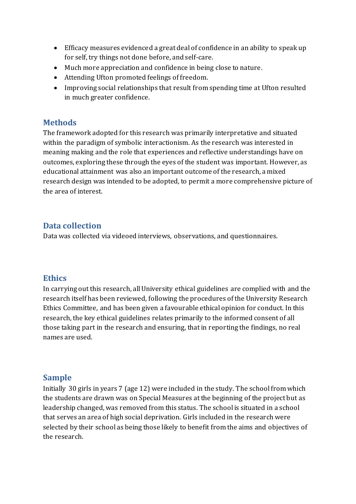- Efficacy measures evidenced a great deal of confidence in an ability to speak up for self, try things not done before, and self-care.
- Much more appreciation and confidence in being close to nature.
- Attending Ufton promoted feelings of freedom.
- Improving social relationships that result from spending time at Ufton resulted in much greater confidence.

#### **Methods**

The framework adopted for this research was primarily interpretative and situated within the paradigm of symbolic interactionism. As the research was interested in meaning making and the role that experiences and reflective understandings have on outcomes, exploring these through the eyes of the student was important. However, as educational attainment was also an important outcome of the research, a mixed research design was intended to be adopted, to permit a more comprehensive picture of the area of interest.

#### **Data collection**

Data was collected via videoed interviews, observations, and questionnaires.

#### **Ethics**

In carrying out this research, all University ethical guidelines are complied with and the research itself has been reviewed, following the procedures of the University Research Ethics Committee, and has been given a favourable ethical opinion for conduct. In this research, the key ethical guidelines relates primarily to the informed consent of all those taking part in the research and ensuring, that in reporting the findings, no real names are used.

#### **Sample**

Initially 30 girls in years 7 (age 12) were included in the study. The school from which the students are drawn was on Special Measures at the beginning of the project but as leadership changed, was removed from this status. The school is situated in a school that serves an area of high social deprivation. Girls included in the research were selected by their school as being those likely to benefit from the aims and objectives of the research.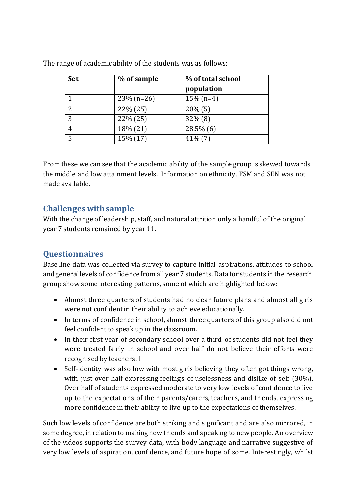| <b>Set</b> | % of sample   | % of total school |
|------------|---------------|-------------------|
|            |               | population        |
|            | $23\%$ (n=26) | $15\%$ (n=4)      |
| 2          | $22\% (25)$   | $20\%$ (5)        |
| 3          | 22% (25)      | $32\%$ (8)        |
| 4          | 18% (21)      | $28.5\%$ (6)      |
| 5          | 15% (17)      | $41\%$ (7)        |

The range of academic ability of the students was as follows:

From these we can see that the academic ability of the sample group is skewed towards the middle and low attainment levels. Information on ethnicity, FSM and SEN was not made available.

## **Challenges with sample**

With the change of leadership, staff, and natural attrition only a handful of the original year 7 students remained by year 11.

# **Questionnaires**

Base line data was collected via survey to capture initial aspirations, attitudes to school and general levels of confidence from all year 7 students. Data for students in the research group show some interesting patterns, some of which are highlighted below:

- Almost three quarters of students had no clear future plans and almost all girls were not confident in their ability to achieve educationally.
- In terms of confidence in school, almost three quarters of this group also did not feel confident to speak up in the classroom.
- In their first year of secondary school over a third of students did not feel they were treated fairly in school and over half do not believe their efforts were recognised by teachers. I
- Self-identity was also low with most girls believing they often got things wrong, with just over half expressing feelings of uselessness and dislike of self (30%). Over half of students expressed moderate to very low levels of confidence to live up to the expectations of their parents/carers, teachers, and friends, expressing more confidence in their ability to live up to the expectations of themselves.

Such low levels of confidence are both striking and significant and are also mirrored, in some degree, in relation to making new friends and speaking to new people. An overview of the videos supports the survey data, with body language and narrative suggestive of very low levels of aspiration, confidence, and future hope of some. Interestingly, whilst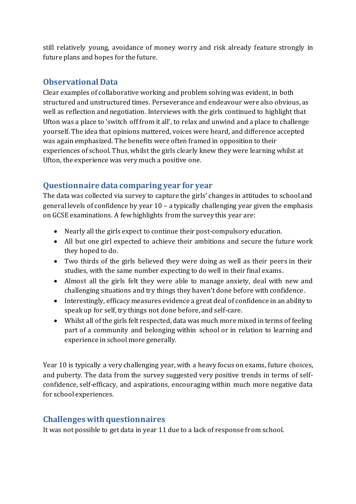still relatively young, avoidance of money worry and risk already feature strongly in future plans and hopes for the future.

#### **Observational Data**

Clear examples of collaborative working and problem solving was evident, in both structured and unstructured times. Perseverance and endeavour were also obvious, as well as reflection and negotiation. Interviews with the girls continued to highlight that Ufton was a place to 'switch off from it all', to relax and unwind and a place to challenge yourself. The idea that opinions mattered, voices were heard, and difference accepted was again emphasized. The benefits were often framed in opposition to their experiences of school. Thus, whilst the girls clearly knew they were learning whilst at Ufton, the experience was very much a positive one.

#### **Questionnaire data comparing year for year**

The data was collected via survey to capture the girls' changes in attitudes to school and general levels of confidence by year 10 – a typically challenging year given the emphasis on GCSE examinations. A few highlights from the survey this year are:

- Nearly all the girls expect to continue their post-compulsory education.
- All but one girl expected to achieve their ambitions and secure the future work they hoped to do.
- Two thirds of the girls believed they were doing as well as their peers in their studies, with the same number expecting to do well in their final exams.
- Almost all the girls felt they were able to manage anxiety, deal with new and challenging situations and try things they haven't done before with confidence.
- Interestingly, efficacy measures evidence a great deal of confidence in an ability to speak up for self, try things not done before, and self-care.
- Whilst all of the girls felt respected, data was much more mixed in terms of feeling part of a community and belonging within school or in relation to learning and experience in school more generally.

Year 10 is typically a very challenging year, with a heavy focus on exams, future choices, and puberty. The data from the survey suggested very positive trends in terms of selfconfidence, self-efficacy, and aspirations, encouraging within much more negative data for school experiences.

#### **Challenges with questionnaires**

It was not possible to get data in year 11 due to a lack of response from school.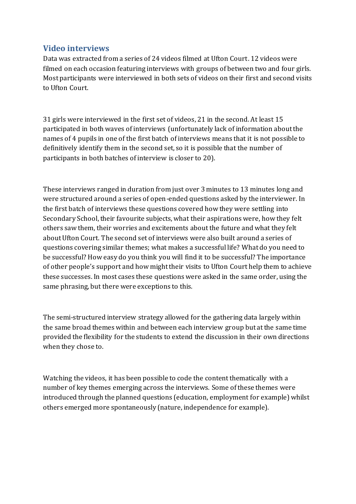#### **Video interviews**

Data was extracted from a series of 24 videos filmed at Ufton Court. 12 videos were filmed on each occasion featuring interviews with groups of between two and four girls. Most participants were interviewed in both sets of videos on their first and second visits to Ufton Court.

31 girls were interviewed in the first set of videos, 21 in the second. At least 15 participated in both waves of interviews (unfortunately lack of information about the names of 4 pupils in one of the first batch of interviews means that it is not possible to definitively identify them in the second set, so it is possible that the number of participants in both batches of interview is closer to 20).

These interviews ranged in duration from just over 3 minutes to 13 minutes long and were structured around a series of open-ended questions asked by the interviewer. In the first batch of interviews these questions covered how they were settling into Secondary School, their favourite subjects, what their aspirations were, how they felt others saw them, their worries and excitements about the future and what they felt about Ufton Court. The second set of interviews were also built around a series of questions covering similar themes; what makes a successful life? What do you need to be successful? How easy do you think you will find it to be successful? The importance of other people's support and how might their visits to Ufton Court help them to achieve these successes. In most cases these questions were asked in the same order, using the same phrasing, but there were exceptions to this.

The semi-structured interview strategy allowed for the gathering data largely within the same broad themes within and between each interview group but at the same time provided the flexibility for the students to extend the discussion in their own directions when they chose to.

Watching the videos, it has been possible to code the content thematically with a number of key themes emerging across the interviews. Some of these themes were introduced through the planned questions (education, employment for example) whilst others emerged more spontaneously (nature, independence for example).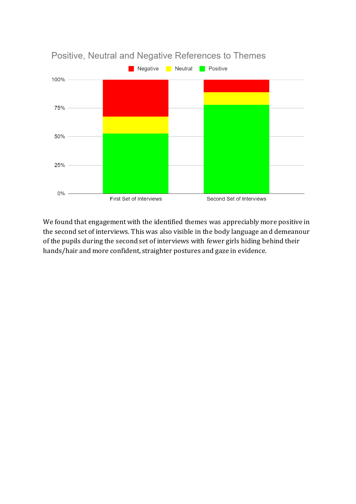

We found that engagement with the identified themes was appreciably more positive in the second set of interviews. This was also visible in the body language and demeanour of the pupils during the second set of interviews with fewer girls hiding behind their hands/hair and more confident, straighter postures and gaze in evidence.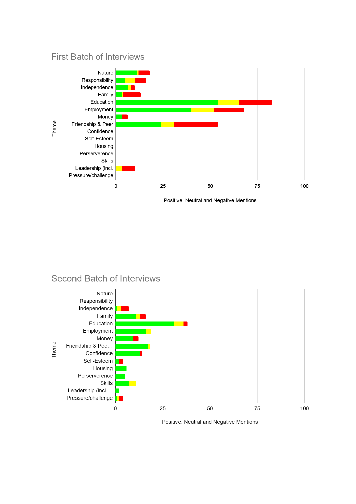## **First Batch of Interviews**



Positive, Neutral and Negative Mentions

# Second Batch of Interviews



Positive, Neutral and Negative Mentions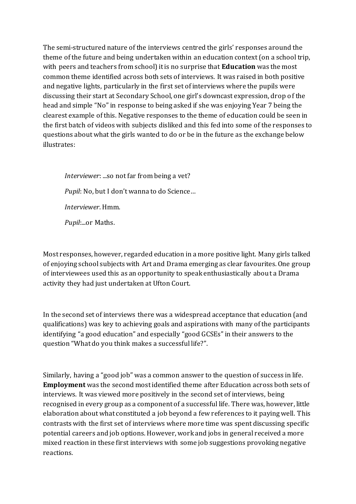The semi-structured nature of the interviews centred the girls' responses around the theme of the future and being undertaken within an education context (on a school trip, with peers and teachers from school) it is no surprise that **Education** was the most common theme identified across both sets of interviews. It was raised in both positive and negative lights, particularly in the first set of interviews where the pupils were discussing their start at Secondary School, one girl's downcast expression, drop o f the head and simple "No" in response to being asked if she was enjoying Year 7 being the clearest example of this. Negative responses to the theme of education could be seen in the first batch of videos with subjects disliked and this fed into some of the responses to questions about what the girls wanted to do or be in the future as the exchange below illustrates:

*Interviewer*: ...so not far from being a vet? *Pupil*: No, but I don't wanna to do Science… *Interviewer*. Hmm. *Pupil*:...or Maths.

Most responses, however, regarded education in a more positive light. Many girls talked of enjoying school subjects with Art and Drama emerging as clear favourites. One group of interviewees used this as an opportunity to speak enthusiastically about a Drama activity they had just undertaken at Ufton Court.

In the second set of interviews there was a widespread acceptance that education (and qualifications) was key to achieving goals and aspirations with many of the participants identifying "a good education" and especially "good GCSEs" in their answers to the question "What do you think makes a successful life?".

Similarly, having a "good job" was a common answer to the question of success in life. **Employment** was the second most identified theme after Education across both sets of interviews. It was viewed more positively in the second set of interviews, being recognised in every group as a component of a successful life. There was, however, little elaboration about what constituted a job beyond a few references to it paying well. This contrasts with the first set of interviews where more time was spent discussing specific potential careers and job options. However, work and jobs in general received a more mixed reaction in these first interviews with some job suggestions provoking negative reactions.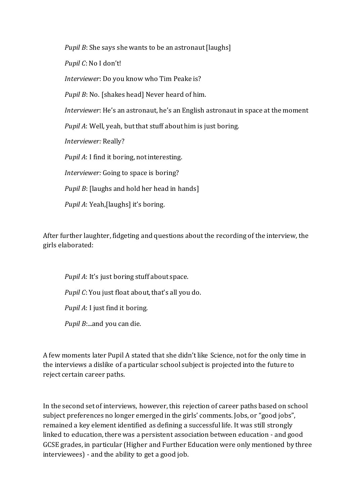*Pupil B*: She says she wants to be an astronaut [laughs]

*Pupil C*: No I don't!

*Interviewer*: Do you know who Tim Peake is?

*Pupil B*: No. [shakes head] Never heard of him.

*Interviewer*: He's an astronaut, he's an English astronaut in space at the moment

*Pupil A*: Well, yeah, but that stuff about him is just boring.

*Interviewer:* Really?

*Pupil A*: I find it boring, not interesting.

*Interviewer:* Going to space is boring?

*Pupil B*: [laughs and hold her head in hands]

*Pupil A*: Yeah,[laughs] it's boring.

After further laughter, fidgeting and questions about the recording of the interview, the girls elaborated:

*Pupil A*: It's just boring stuff about space. *Pupil C*: You just float about, that's all you do. *Pupil A*: I just find it boring. *Pupil B*:...and you can die.

A few moments later Pupil A stated that she didn't like Science, not for the only time in the interviews a dislike of a particular school subject is projected into the future to reject certain career paths.

In the second set of interviews, however, this rejection of career paths based on school subject preferences no longer emerged in the girls' comments. Jobs, or "good jobs", remained a key element identified as defining a successful life. It was still strongly linked to education, there was a persistent association between education - and good GCSE grades, in particular (Higher and Further Education were only mentioned by three interviewees) - and the ability to get a good job.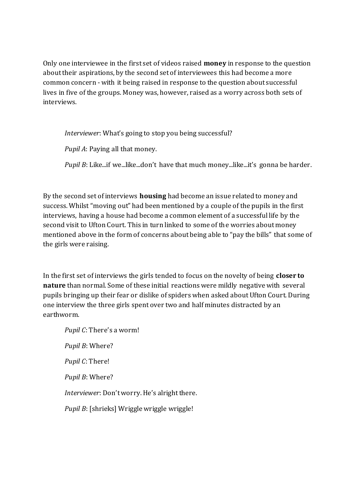Only one interviewee in the first set of videos raised **money** in response to the question about their aspirations, by the second set of interviewees this had become a more common concern - with it being raised in response to the question about successful lives in five of the groups. Money was, however, raised as a worry across both sets of interviews.

*Interviewer*: What's going to stop you being successful?

*Pupil A*: Paying all that money.

*Pupil B*: Like...if we...like...don't have that much money...like...it's gonna be harder.

By the second set of interviews **housing** had become an issue related to money and success. Whilst "moving out" had been mentioned by a couple of the pupils in the first interviews, having a house had become a common element of a successful life by the second visit to Ufton Court. This in turn linked to some of the worries about money mentioned above in the form of concerns about being able to "pay the bills" that some of the girls were raising.

In the first set of interviews the girls tended to focus on the novelty of being **closer to nature** than normal. Some of these initial reactions were mildly negative with several pupils bringing up their fear or dislike of spiders when asked about Ufton Court. During one interview the three girls spent over two and half minutes distracted by an earthworm.

*Pupil C*: There's a worm! *Pupil B*: Where? *Pupil C*: There! *Pupil B*: Where? *Interviewer*: Don't worry. He's alright there. *Pupil B*: [shrieks] Wriggle wriggle wriggle!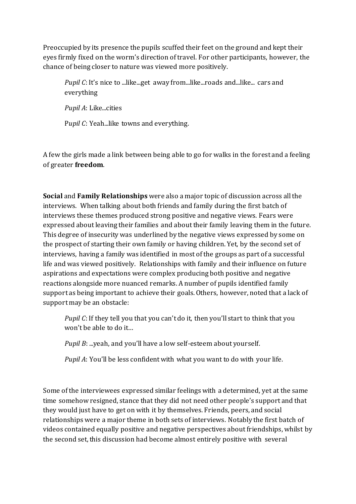Preoccupied by its presence the pupils scuffed their feet on the ground and kept their eyes firmly fixed on the worm's direction of travel. For other participants, however, the chance of being closer to nature was viewed more positively.

*Pupil C*: It's nice to ...like...get away from...like...roads and...like... cars and everything

*Pupil A*: Like...cities

Pupil C: Yeah...like towns and everything.

A few the girls made a link between being able to go for walks in the forest and a feeling of greater **freedom**.

**Social** and **Family Relationships** were also a major topic of discussion across all the interviews. When talking about both friends and family during the first batch of interviews these themes produced strong positive and negative views. Fears were expressed about leaving their families and about their family leaving them in the future. This degree of insecurity was underlined by the negative views expressed by some on the prospect of starting their own family or having children. Yet, by the second set of interviews, having a family was identified in most of the groups as part of a successful life and was viewed positively. Relationships with family and their influence on future aspirations and expectations were complex producing both positive and negative reactions alongside more nuanced remarks. A number of pupils identified family support as being important to achieve their goals. Others, however, noted that a lack of support may be an obstacle:

*Pupil C*: If they tell you that you can't do it, then you'll start to think that you won't be able to do it…

*Pupil B*: ...yeah, and you'll have a low self-esteem about yourself.

*Pupil A*: You'll be less confident with what you want to do with your life.

Some of the interviewees expressed similar feelings with a determined, yet at the same time somehow resigned, stance that they did not need other people's support and that they would just have to get on with it by themselves. Friends, peers, and social relationships were a major theme in both sets of interviews. Notably the first batch of videos contained equally positive and negative perspectives about friendships, whilst by the second set, this discussion had become almost entirely positive with several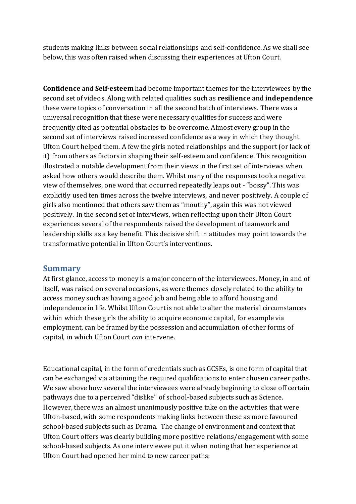students making links between social relationships and self-confidence. As we shall see below, this was often raised when discussing their experiences at Ufton Court.

**Confidence** and **Self-esteem** had become important themes for the interviewees by the second set of videos. Along with related qualities such as **resilience** and **independence**  these were topics of conversation in all the second batch of interviews. There was a universal recognition that these were necessary qualities for success and were frequently cited as potential obstacles to be overcome. Almost every group in the second set of interviews raised increased confidence as a way in which they thought Ufton Court helped them. A few the girls noted relationships and the support (or lack of it) from others as factors in shaping their self-esteem and confidence. This recognition illustrated a notable development from their views in the first set of interviews when asked how others would describe them. Whilst many of the responses took a negative view of themselves, one word that occurred repeatedly leaps out -"bossy". This was explicitly used ten times across the twelve interviews, and never positively. A couple of girls also mentioned that others saw them as "mouthy", again this was not viewed positively. In the second set of interviews, when reflecting upon their Ufton Court experiences several of the respondents raised the development of teamwork and leadership skills as a key benefit. This decisive shift in attitudes may point towards the transformative potential in Ufton Court's interventions.

#### **Summary**

At first glance, access to money is a major concern of the interviewees. Money, in and of itself, was raised on several occasions, as were themes closely related to the ability to access money such as having a good job and being able to afford housing and independence in life. Whilst Ufton Court is not able to alter the material circumstances within which these girls the ability to acquire economic capital, for example via employment, can be framed by the possession and accumulation of other forms of capital, in which Ufton Court *can* intervene.

Educational capital, in the form of credentials such as GCSEs, is one form of capital that can be exchanged via attaining the required qualifications to enter chosen career paths. We saw above how several the interviewees were already beginning to close off certain pathways due to a perceived "dislike" of school-based subjects such as Science. However, there was an almost unanimously positive take on the activities that were Ufton-based, with some respondents making links between these as more favoured school-based subjects such as Drama. The change of environment and context that Ufton Court offers was clearly building more positive relations/engagement with some school-based subjects. As one interviewee put it when noting that her experience at Ufton Court had opened her mind to new career paths: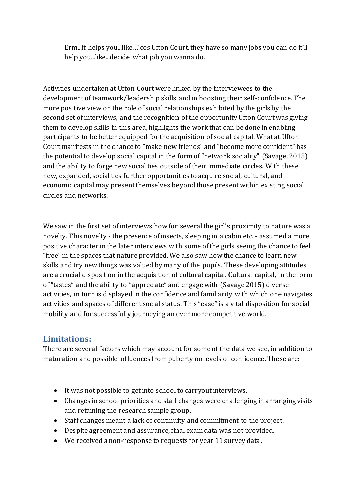Erm...it helps you...like…'cos Ufton Court, they have so many jobs you can do it'll help you...like...decide what job you wanna do.

Activities undertaken at Ufton Court were linked by the interviewees to the development of teamwork/leadership skills and in boosting their self-confidence. The more positive view on the role of social relationships exhibited by the girls by the second set of interviews, and the recognition of the opportunity Ufton Court was giving them to develop skills in this area, highlights the work that can be done in enabling participants to be better equipped for the acquisition of social capital. What at Ufton Court manifests in the chance to "make new friends" and "become more confident" has the potential to develop social capital in the form of "network sociality" [\(Savage, 2015\)](http://sciwheel.com/work/citation?ids=7644025&pre=&suf=&sa=0) and the ability to forge new social ties outside of their immediate circles. With these new, expanded, social ties further opportunities to acquire social, cultural, and economic capital may present themselves beyond those present within existing social circles and networks.

We saw in the first set of interviews how for several the girl's proximity to nature was a novelty. This novelty - the presence of insects, sleeping in a cabin etc. - assumed a more positive character in the later interviews with some of the girls seeing the chance to feel "free" in the spaces that nature provided. We also saw how the chance to learn new skills and try new things was valued by many of the pupils. These developing attitudes are a crucial disposition in the acquisition of cultural capital. Cultural capital, in the form of "tastes" and the ability to "appreciate" and engage with [\(Savage 2015\)](http://sciwheel.com/work/citation?ids=7644025&pre=&suf=&sa=0) diverse activities, in turn is displayed in the confidence and familiarity with which one navigates activities and spaces of different social status. This "ease" is a vital disposition for social mobility and for successfully journeying an ever more competitive world.

#### **Limitations:**

There are several factors which may account for some of the data we see, in addition to maturation and possible influences from puberty on levels of confidence. These are:

- It was not possible to get into school to carryout interviews.
- Changes in school priorities and staff changes were challenging in arranging visits and retaining the research sample group.
- Staff changes meant a lack of continuity and commitment to the project.
- Despite agreement and assurance, final exam data was not provided.
- We received a non-response to requests for year 11 survey data.